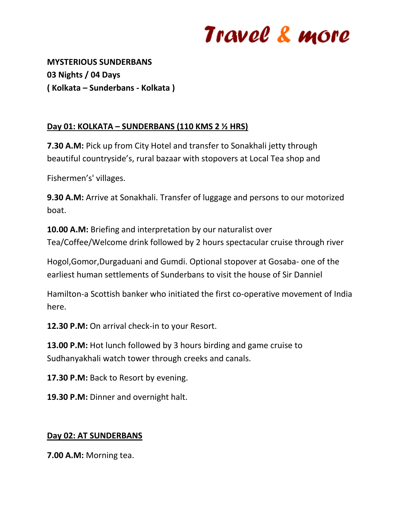# Travel & more

**MYSTERIOUS SUNDERBANS 03 Nights / 04 Days ( Kolkata – Sunderbans - Kolkata )**

### **Day 01: KOLKATA – SUNDERBANS (110 KMS 2 ½ HRS)**

**7.30 A.M:** Pick up from City Hotel and transfer to Sonakhali jetty through beautiful countryside's, rural bazaar with stopovers at Local Tea shop and

Fishermen's' villages.

**9.30 A.M:** Arrive at Sonakhali. Transfer of luggage and persons to our motorized boat.

**10.00 A.M:** Briefing and interpretation by our naturalist over Tea/Coffee/Welcome drink followed by 2 hours spectacular cruise through river

Hogol,Gomor,Durgaduani and Gumdi. Optional stopover at Gosaba- one of the earliest human settlements of Sunderbans to visit the house of Sir Danniel

Hamilton-a Scottish banker who initiated the first co-operative movement of India here.

**12.30 P.M:** On arrival check-in to your Resort.

**13.00 P.M:** Hot lunch followed by 3 hours birding and game cruise to Sudhanyakhali watch tower through creeks and canals.

**17.30 P.M:** Back to Resort by evening.

19.30 P.M: Dinner and overnight halt.

#### **Day 02: AT SUNDERBANS**

**7.00 A.M:** Morning tea.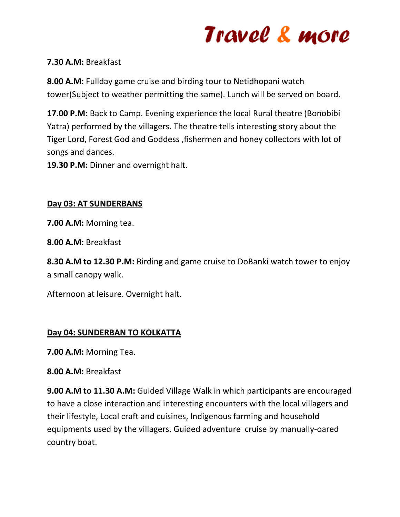# Travel & more

#### **7.30 A.M:** Breakfast

**8.00 A.M:** Fullday game cruise and birding tour to Netidhopani watch tower(Subject to weather permitting the same). Lunch will be served on board.

**17.00 P.M:** Back to Camp. Evening experience the local Rural theatre (Bonobibi Yatra) performed by the villagers. The theatre tells interesting story about the Tiger Lord, Forest God and Goddess ,fishermen and honey collectors with lot of songs and dances.

**19.30 P.M:** Dinner and overnight halt.

#### **Day 03: AT SUNDERBANS**

**7.00 A.M:** Morning tea.

**8.00 A.M:** Breakfast

**8.30 A.M to 12.30 P.M:** Birding and game cruise to DoBanki watch tower to enjoy a small canopy walk.

Afternoon at leisure. Overnight halt.

### **Day 04: SUNDERBAN TO KOLKATTA**

**7.00 A.M:** Morning Tea.

#### **8.00 A.M:** Breakfast

**9.00 A.M to 11.30 A.M:** Guided Village Walk in which participants are encouraged to have a close interaction and interesting encounters with the local villagers and their lifestyle, Local craft and cuisines, Indigenous farming and household equipments used by the villagers. Guided adventure cruise by manually-oared country boat.